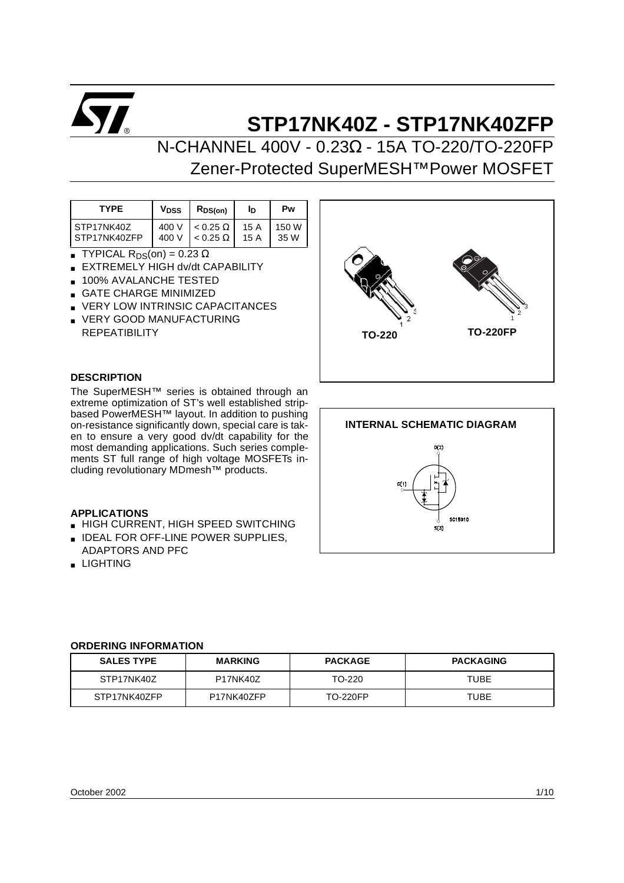

N-CHANNEL 400V - 0.23Ω - 15A TO-220/TO-220FP Zener-Protected SuperMESH™Power MOSFET

| <b>TYPE</b>  | V <sub>DSS</sub> | $R_{DS(on)}$    | Iр   | Pw    |
|--------------|------------------|-----------------|------|-------|
| STP17NK40Z   | 400 V            | $< 0.25 \Omega$ | 15 A | 150 W |
| STP17NK40ZFP | 400 V            | $< 0.25 \Omega$ | 15 A | 35 W  |

- **TYPICAL R**<sub>DS</sub>(on) =  $0.23 \Omega$
- **EXTREMELY HIGH dv/dt CAPABILITY**
- 100% AVALANCHE TESTED
- GATE CHARGE MINIMIZED
- VERY LOW INTRINSIC CAPACITANCES
- VERY GOOD MANUFACTURING **REPEATIBILITY**

# **DESCRIPTION**

The SuperMESH™ series is obtained through an extreme optimization of ST's well established stripbased PowerMESH™ layout. In addition to pushing on-resistance significantly down, special care is taken to ensure a very good dv/dt capability for the most demanding applications. Such series complements ST full range of high voltage MOSFETs including revolutionary MDmesh™ products.

#### **APPLICATIONS**

- **B** HIGH CURRENT, HIGH SPEED SWITCHING
- **B** IDEAL FOR OFF-LINE POWER SUPPLIES, ADAPTORS AND PFC
- LIGHTING





#### **ORDERING INFORMATION**

| <b>SALES TYPE</b> | <b>MARKING</b>  | <b>PACKAGE</b>  | <b>PACKAGING</b> |
|-------------------|-----------------|-----------------|------------------|
| STP17NK40Z        | <b>P17NK40Z</b> | TO-220          | TUBE             |
| STP17NK40ZFP      | P17NK40ZFP      | <b>TO-220FP</b> | TUBE             |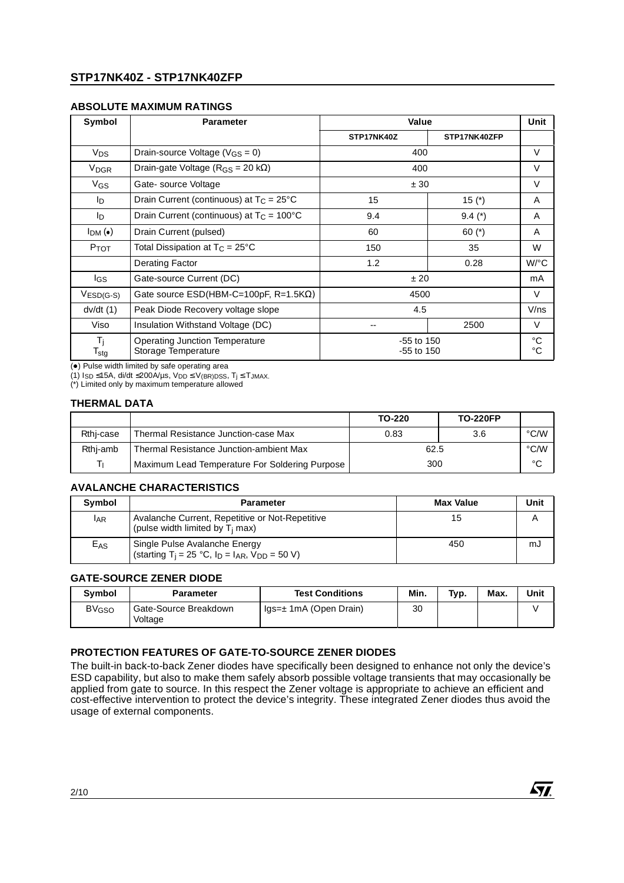# **ABSOLUTE MAXIMUM RATINGS**

| Symbol                               | <b>Parameter</b>                                             | Value                        |              | Unit                 |
|--------------------------------------|--------------------------------------------------------------|------------------------------|--------------|----------------------|
|                                      |                                                              | STP17NK40Z                   | STP17NK40ZFP |                      |
| V <sub>DS</sub>                      | Drain-source Voltage ( $V_{GS} = 0$ )                        | 400                          |              | V                    |
| <b>V<sub>DGR</sub></b>               | Drain-gate Voltage ( $R_{GS}$ = 20 k $\Omega$ )              | 400                          |              | $\vee$               |
| V <sub>GS</sub>                      | Gate-source Voltage                                          | ± 30                         |              | $\vee$               |
| Iр                                   | Drain Current (continuous) at $T_C = 25^{\circ}C$            | 15                           | 15 $(*)$     | A                    |
| Iр                                   | Drain Current (continuous) at $T_C = 100^{\circ}C$           | 9.4                          | $9.4(*)$     | A                    |
| $I_{DM}(\bullet)$                    | Drain Current (pulsed)                                       | 60                           | 60 $(*)$     | A                    |
| $P_{TOT}$                            | Total Dissipation at $T_C = 25^{\circ}C$                     | 150                          | 35           | W                    |
|                                      | Derating Factor                                              | 1.2                          | 0.28         | $W$ <sup>o</sup> $C$ |
| lgs                                  | Gate-source Current (DC)                                     | ±20                          |              | mA                   |
| $VESD(G-S)$                          | Gate source $ESD(HBM-C=100pF, R=1.5K\Omega)$                 | 4500                         |              | $\vee$               |
| dv/dt(1)                             | Peak Diode Recovery voltage slope                            | 4.5                          |              | V/ns                 |
| Viso                                 | Insulation Withstand Voltage (DC)                            | 2500                         |              | $\vee$               |
| $T_i$<br>$\mathsf{T}_{\textsf{stg}}$ | <b>Operating Junction Temperature</b><br>Storage Temperature | $-55$ to 150<br>$-55$ to 150 |              | $^{\circ}C$<br>°C    |

 $\left( \bullet \right)$  Pulse width limited by safe operating area

(1) I<sub>SD</sub> ≤15A, di/dt ≤200A/µs, V<sub>DD</sub> ≤ V<sub>(BR)DSS</sub>, T<sub>j</sub> ≤ T<sub>JMAX.</sub><br>(\*) Limited only by maximum temperature allowed

#### **THERMAL DATA**

|           | TO-220                                         |      | <b>TO-220FP</b> |      |
|-----------|------------------------------------------------|------|-----------------|------|
| Rthj-case | Thermal Resistance Junction-case Max           | 0.83 | 3.6             | °C/W |
| Rthj-amb  | Thermal Resistance Junction-ambient Max        | 62.5 |                 | °C/W |
|           | Maximum Lead Temperature For Soldering Purpose | 300  |                 | °С   |

# **AVALANCHE CHARACTERISTICS**

| Symbol     | <b>Parameter</b>                                                                                       | <b>Max Value</b> | Unit |
|------------|--------------------------------------------------------------------------------------------------------|------------------|------|
| <b>LAR</b> | Avalanche Current, Repetitive or Not-Repetitive<br>(pulse width limited by $T_i$ max)                  | 15               |      |
| $E_{AS}$   | Single Pulse Avalanche Energy<br>(starting T <sub>j</sub> = 25 °C, $I_D$ = $I_{AR}$ , $V_{DD}$ = 50 V) | 450              | mJ   |

#### **GATE-SOURCE ZENER DIODE**

| Symbol            | <b>Parameter</b>                 | <b>Test Conditions</b>                       | Min. | Typ. | Max. | Unit |
|-------------------|----------------------------------|----------------------------------------------|------|------|------|------|
| BV <sub>GSO</sub> | Gate-Source Breakdown<br>Voltage | $\mathsf{Iqs}=\pm 1\mathsf{mA}$ (Open Drain) | 30   |      |      |      |

# **PROTECTION FEATURES OF GATE-TO-SOURCE ZENER DIODES**

The built-in back-to-back Zener diodes have specifically been designed to enhance not only the device's ESD capability, but also to make them safely absorb possible voltage transients that may occasionally be applied from gate to source. In this respect the Zener voltage is appropriate to achieve an efficient and cost-effective intervention to protect the device's integrity. These integrated Zener diodes thus avoid the usage of external components.

*ST.*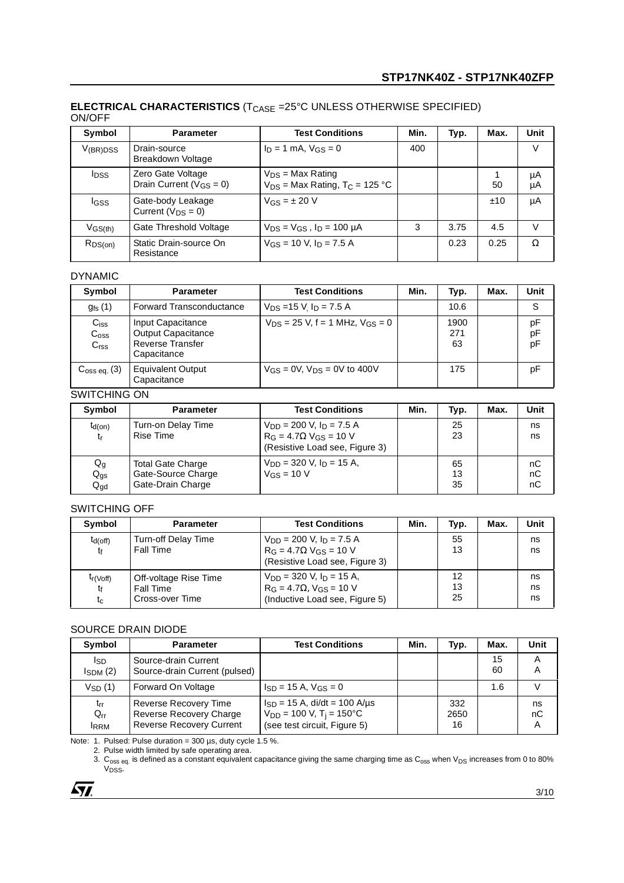### **ELECTRICAL CHARACTERISTICS** (T<sub>CASE</sub> =25°C UNLESS OTHERWISE SPECIFIED) ON/OFF

| Symbol            | <b>Parameter</b>                                    | <b>Test Conditions</b>                                                  | Min. | Typ. | Max. | Unit     |
|-------------------|-----------------------------------------------------|-------------------------------------------------------------------------|------|------|------|----------|
| $V_{\rm (BR)DSS}$ | Drain-source<br>Breakdown Voltage                   | $I_D = 1$ mA, $V_{GS} = 0$                                              | 400  |      |      | V        |
| <b>IDSS</b>       | Zero Gate Voltage<br>Drain Current ( $V_{GS} = 0$ ) | $V_{DS}$ = Max Rating<br>$V_{DS}$ = Max Rating, T <sub>C</sub> = 125 °C |      |      | 50   | μA<br>μA |
| <b>IGSS</b>       | Gate-body Leakage<br>Current ( $V_{DS} = 0$ )       | $V_{GS} = \pm 20 V$                                                     |      |      | ±10  | μA       |
| $V$ GS(th)        | Gate Threshold Voltage                              | $V_{DS} = V_{GS}$ , $I_D = 100 \mu A$                                   | 3    | 3.75 | 4.5  | V        |
| $R_{DS(on)}$      | Static Drain-source On<br>Resistance                | $V_{GS}$ = 10 V, $I_D$ = 7.5 A                                          |      | 0.23 | 0.25 | Ω        |

# DYNAMIC

| Symbol                                            | <b>Parameter</b>                                                                         | <b>Test Conditions</b>                   | Min. | Typ.              | Max. | Unit           |
|---------------------------------------------------|------------------------------------------------------------------------------------------|------------------------------------------|------|-------------------|------|----------------|
| $g_{fs}(1)$                                       | <b>Forward Transconductance</b>                                                          | $V_{DS}$ =15 V $I_D$ = 7.5 A             |      | 10.6              |      | S              |
| $C_{iss}$<br>C <sub>oss</sub><br>C <sub>rss</sub> | Input Capacitance<br><b>Output Capacitance</b><br><b>Reverse Transfer</b><br>Capacitance | $V_{DS} = 25$ V, f = 1 MHz, $V_{GS} = 0$ |      | 1900<br>271<br>63 |      | рF<br>pF<br>pF |
| C <sub>oss eq.</sub> (3)                          | <b>Equivalent Output</b><br>Capacitance                                                  | $V_{GS} = 0V$ , $V_{DS} = 0V$ to 400V    |      | 175               |      | рF             |

### SWITCHING ON

| Symbol                                                   | <b>Parameter</b>                                                    | <b>Test Conditions</b>                                                                                         | Min. | Typ.           | Max. | Unit           |
|----------------------------------------------------------|---------------------------------------------------------------------|----------------------------------------------------------------------------------------------------------------|------|----------------|------|----------------|
| $t_{d(on)}$<br>tr                                        | Turn-on Delay Time<br>Rise Time                                     | $V_{DD}$ = 200 V, $I_D$ = 7.5 A<br>$R_G = 4.7 \Omega$ V <sub>GS</sub> = 10 V<br>(Resistive Load see, Figure 3) |      | 25<br>23       |      | ns<br>ns       |
| $\mathsf{Q}_{\mathsf{g}}$<br>$Q_{gs}$<br>$Q_{\text{gd}}$ | <b>Total Gate Charge</b><br>Gate-Source Charge<br>Gate-Drain Charge | $V_{DD}$ = 320 V, $I_D$ = 15 A,<br>$V$ <sub>GS</sub> = 10 V                                                    |      | 65<br>13<br>35 |      | nC<br>nC<br>nC |

#### SWITCHING OFF

| Symbol                       | <b>Parameter</b>                                             | <b>Test Conditions</b>                                                                                         | Min. | Typ.           | Max. | Unit           |
|------------------------------|--------------------------------------------------------------|----------------------------------------------------------------------------------------------------------------|------|----------------|------|----------------|
| $t_{d(off)}$<br>tŧ           | Turn-off Delay Time<br><b>Fall Time</b>                      | $V_{DD}$ = 200 V, $I_D$ = 7.5 A<br>$R_G = 4.7 \Omega$ V <sub>GS</sub> = 10 V<br>(Resistive Load see, Figure 3) |      | 55<br>13       |      | ns<br>ns       |
| $t_{r(Voff)}$<br>tf<br>$t_c$ | Off-voltage Rise Time<br><b>Fall Time</b><br>Cross-over Time | $V_{DD}$ = 320 V, $I_D$ = 15 A,<br>$R_G = 4.7\Omega$ , $V_{GS} = 10$ V<br>(Inductive Load see, Figure 5)       |      | 12<br>13<br>25 |      | ns<br>ns<br>ns |

# SOURCE DRAIN DIODE

| Symbol                              | <b>Parameter</b>                                                                    | <b>Test Conditions</b>                                                                                        | Min. | Typ.              | Max.     | Unit          |
|-------------------------------------|-------------------------------------------------------------------------------------|---------------------------------------------------------------------------------------------------------------|------|-------------------|----------|---------------|
| I <sub>SD</sub><br>$I_{SDM}$ (2)    | Source-drain Current<br>Source-drain Current (pulsed)                               |                                                                                                               |      |                   | 15<br>60 | A<br>A        |
| $V_{SD}$ (1)                        | Forward On Voltage                                                                  | $I_{SD} = 15$ A, $V_{GS} = 0$                                                                                 |      |                   | 1.6      |               |
| $t_{rr}$<br>$Q_{rr}$<br><b>IRRM</b> | Reverse Recovery Time<br>Reverse Recovery Charge<br><b>Reverse Recovery Current</b> | $I_{SD}$ = 15 A, di/dt = 100 A/µs<br>$V_{DD}$ = 100 V, T <sub>j</sub> = 150°C<br>(see test circuit, Figure 5) |      | 332<br>2650<br>16 |          | ns<br>nC<br>Α |

Note: 1. Pulsed: Pulse duration =  $300 \,\mu s$ , duty cycle 1.5 %.

2. Pulse width limited by safe operating area.

3.  $\rm{C_{oss}}$   $_{\rm{eq.}}$  is defined as a constant equivalent capacitance giving the same charging time as  $\rm{C_{oss}}$  when  $\rm{V_{DS}}$  increases from 0 to 80% V<sub>DSS</sub>.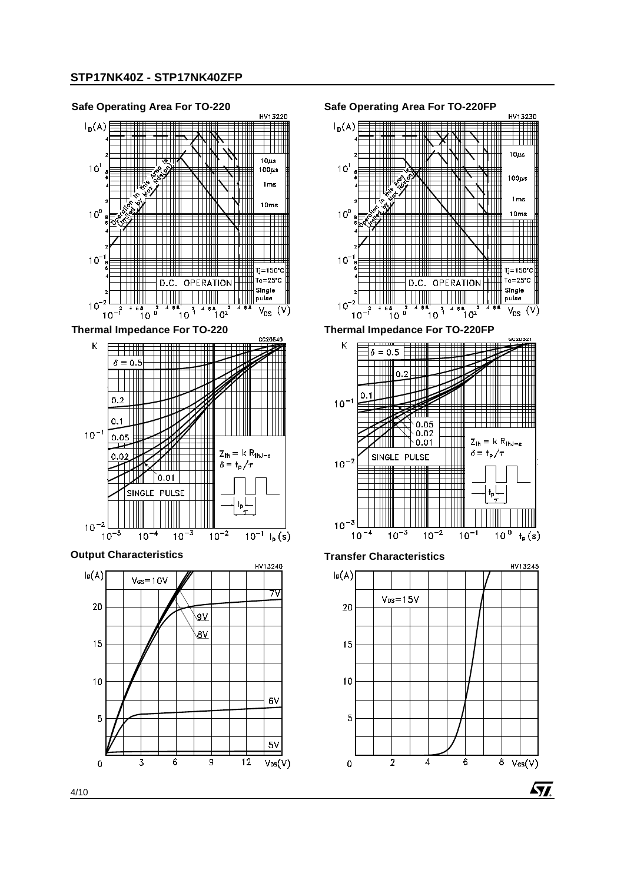

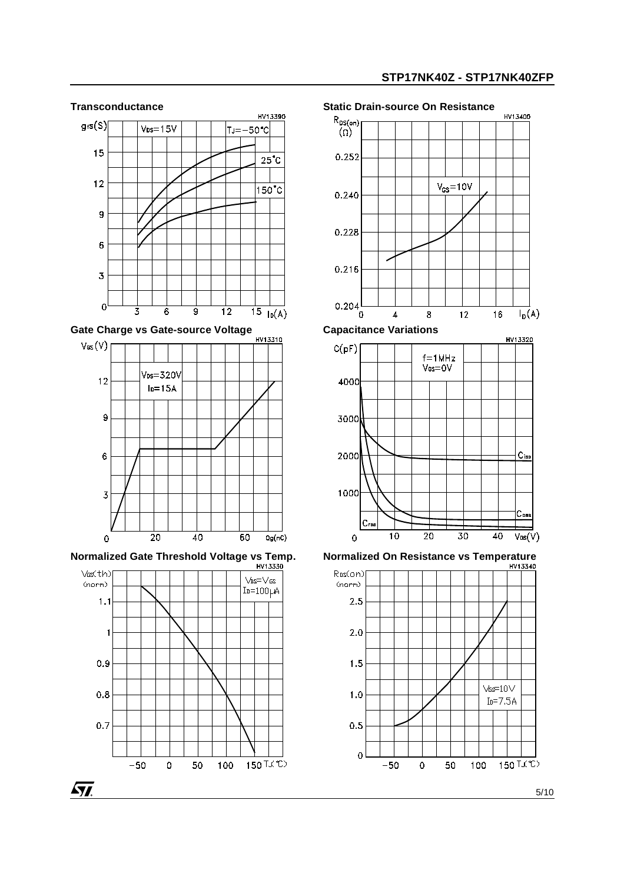HV13400



 $150$   $\overline{150}$ 





*ST* 

 $0.9$ 

 $0.8$ 

 $0.7$ 

 $-50$ 

 $\overline{0}$ 

50

100

5/10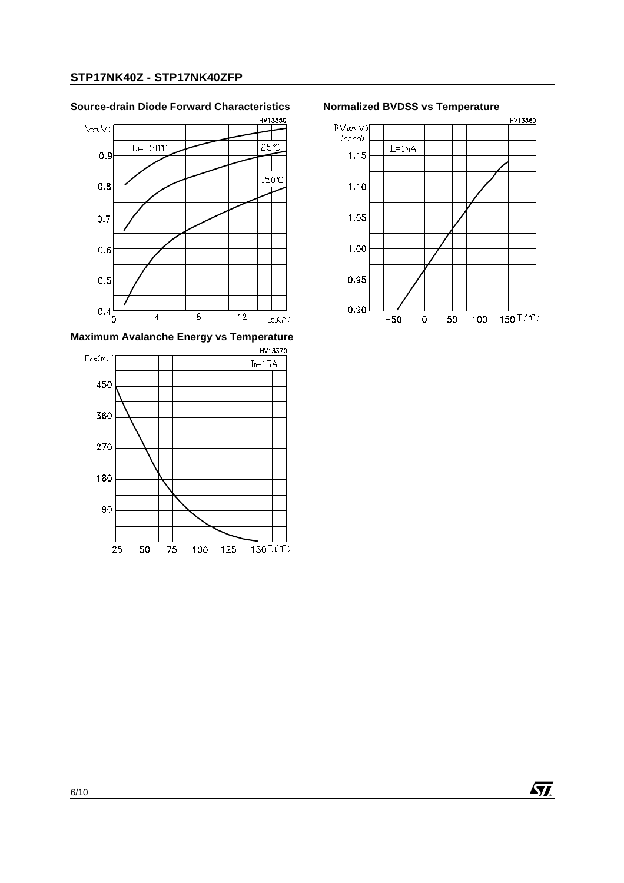# **Source-drain Diode Forward Characteristics Normalized BVDSS vs Temperature**



**Maximum Avalanche Energy vs Temperature** 





 $\sqrt{M}$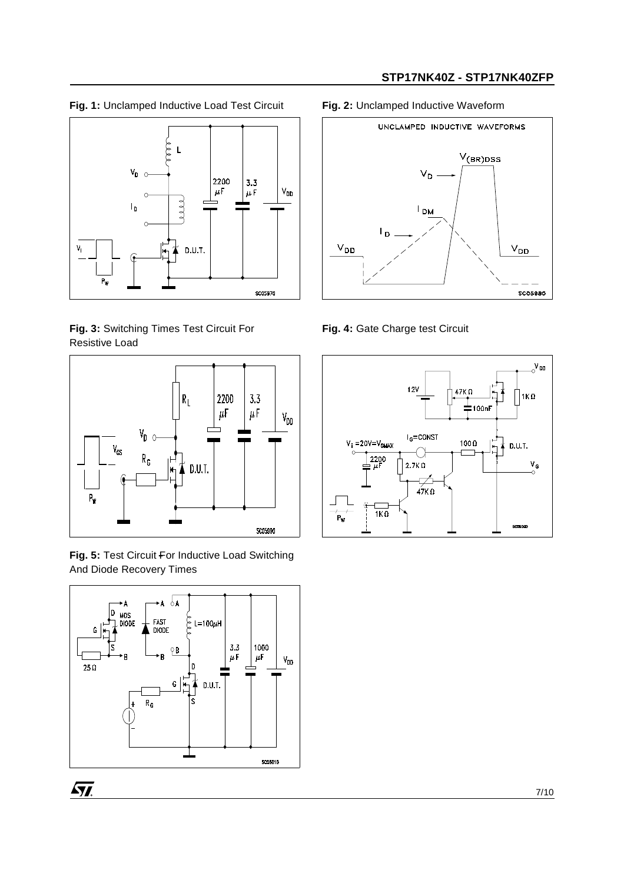**Fig. 1:** Unclamped Inductive Load Test Circuit **Fig. 2:** Unclamped Inductive Waveform



**Fig. 3:** Switching Times Test Circuit For Resistive Load



**Fig. 5:** Test Circuit For Inductive Load Switching And Diode Recovery Times





**Fig. 4:** Gate Charge test Circuit



 $\sqrt{M}$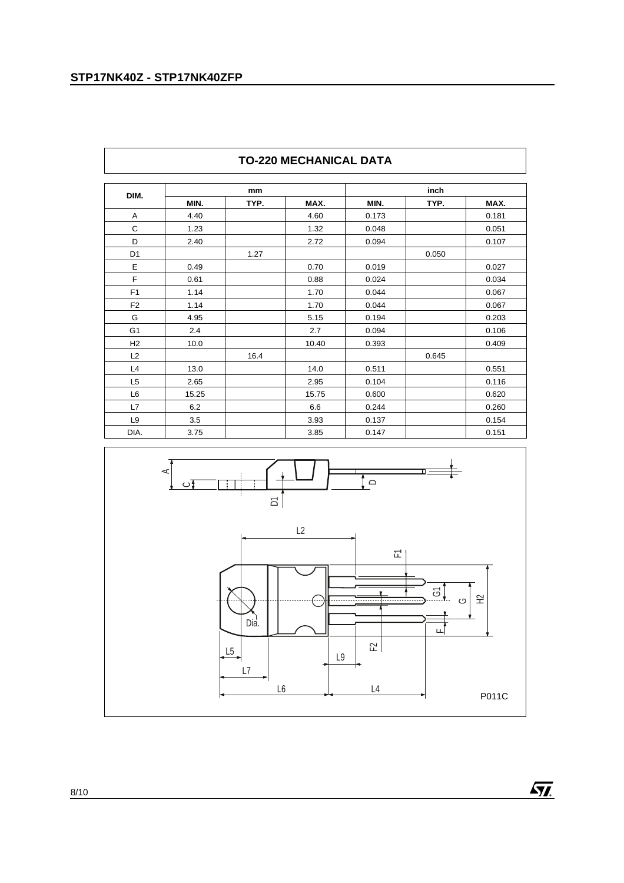$\overline{r}$ 

| DIM.           |       | mm   |       |       | inch  |       |
|----------------|-------|------|-------|-------|-------|-------|
|                | MIN.  | TYP. | MAX.  | MIN.  | TYP.  | MAX.  |
| Α              | 4.40  |      | 4.60  | 0.173 |       | 0.181 |
| C              | 1.23  |      | 1.32  | 0.048 |       | 0.051 |
| D              | 2.40  |      | 2.72  | 0.094 |       | 0.107 |
| D <sub>1</sub> |       | 1.27 |       |       | 0.050 |       |
| Ε              | 0.49  |      | 0.70  | 0.019 |       | 0.027 |
| F              | 0.61  |      | 0.88  | 0.024 |       | 0.034 |
| F <sub>1</sub> | 1.14  |      | 1.70  | 0.044 |       | 0.067 |
| F <sub>2</sub> | 1.14  |      | 1.70  | 0.044 |       | 0.067 |
| G              | 4.95  |      | 5.15  | 0.194 |       | 0.203 |
| G <sub>1</sub> | 2.4   |      | 2.7   | 0.094 |       | 0.106 |
| H2             | 10.0  |      | 10.40 | 0.393 |       | 0.409 |
| L2             |       | 16.4 |       |       | 0.645 |       |
| L4             | 13.0  |      | 14.0  | 0.511 |       | 0.551 |
| L <sub>5</sub> | 2.65  |      | 2.95  | 0.104 |       | 0.116 |
| L <sub>6</sub> | 15.25 |      | 15.75 | 0.600 |       | 0.620 |
| L7             | 6.2   |      | 6.6   | 0.244 |       | 0.260 |
| L <sub>9</sub> | 3.5   |      | 3.93  | 0.137 |       | 0.154 |
| DIA.           | 3.75  |      | 3.85  | 0.147 |       | 0.151 |

# **TO-220 MECHANICAL DATA**



 $\sqrt{M}$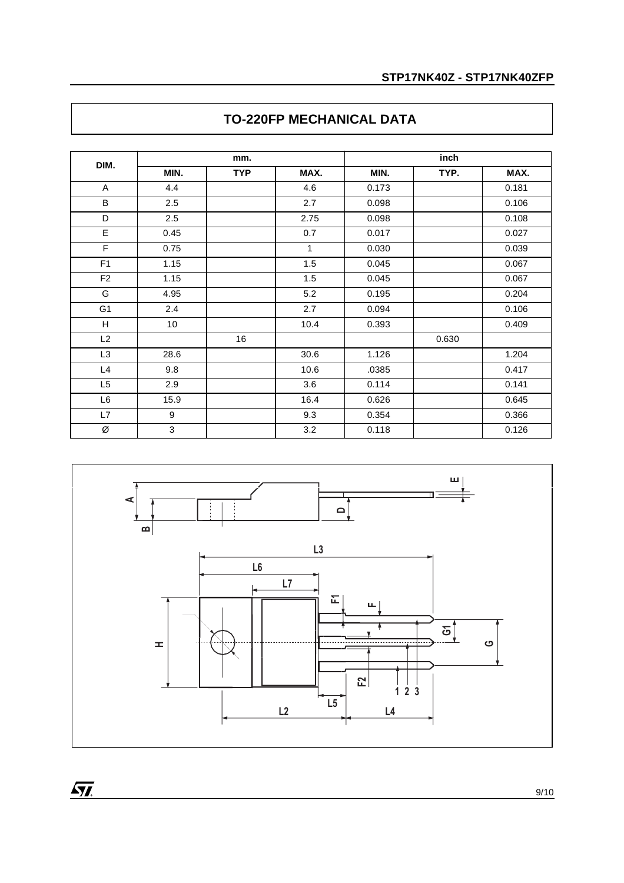| DIM.           | mm.             |            |              | inch  |       |       |
|----------------|-----------------|------------|--------------|-------|-------|-------|
|                | MIN.            | <b>TYP</b> | MAX.         | MIN.  | TYP.  | MAX.  |
| A              | 4.4             |            | 4.6          | 0.173 |       | 0.181 |
| B              | 2.5             |            | 2.7          | 0.098 |       | 0.106 |
| D              | 2.5             |            | 2.75         | 0.098 |       | 0.108 |
| E              | 0.45            |            | 0.7          | 0.017 |       | 0.027 |
| $\overline{F}$ | 0.75            |            | $\mathbf{1}$ | 0.030 |       | 0.039 |
| F <sub>1</sub> | 1.15            |            | 1.5          | 0.045 |       | 0.067 |
| F <sub>2</sub> | 1.15            |            | 1.5          | 0.045 |       | 0.067 |
| G              | 4.95            |            | 5.2          | 0.195 |       | 0.204 |
| G <sub>1</sub> | 2.4             |            | 2.7          | 0.094 |       | 0.106 |
| н              | 10 <sup>1</sup> |            | 10.4         | 0.393 |       | 0.409 |
| L2             |                 | 16         |              |       | 0.630 |       |
| L <sub>3</sub> | 28.6            |            | 30.6         | 1.126 |       | 1.204 |
| L4             | 9.8             |            | 10.6         | .0385 |       | 0.417 |
| L5             | 2.9             |            | 3.6          | 0.114 |       | 0.141 |
| L6             | 15.9            |            | 16.4         | 0.626 |       | 0.645 |
| L7             | 9               |            | 9.3          | 0.354 |       | 0.366 |
| Ø              | 3               |            | 3.2          | 0.118 |       | 0.126 |

# **TO-220FP MECHANICAL DATA**



 $\overline{M}$